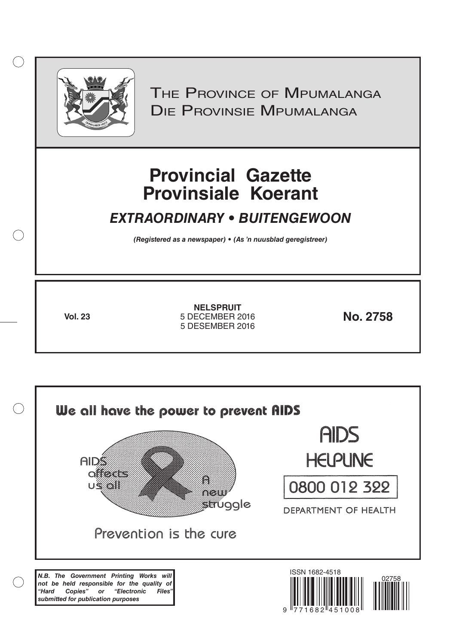

 $( )$ 

THE PROVINCE OF MPUMALANGA Die Provinsie Mpumalanga

# **Provincial Gazette Provinsiale Koerant**

## *EXTRAORDINARY • BUITENGEWOON*

*(Registered as a newspaper) • (As 'n nuusblad geregistreer)*

**Vol. 23 No. 2758** 5 DECEMBER 2016 **NELSPRUIT** 5 DESEMBER 2016

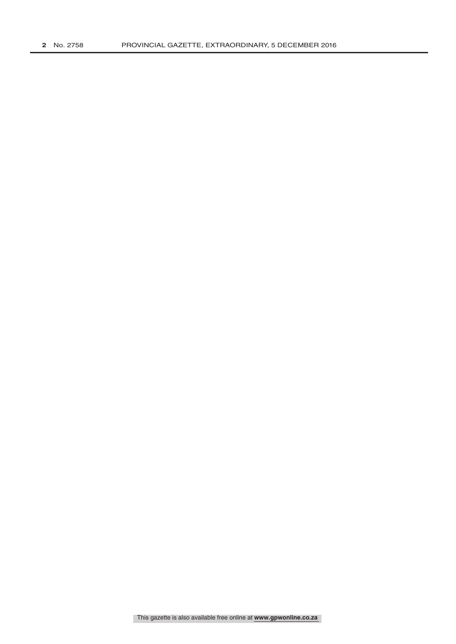This gazette is also available free online at **www.gpwonline.co.za**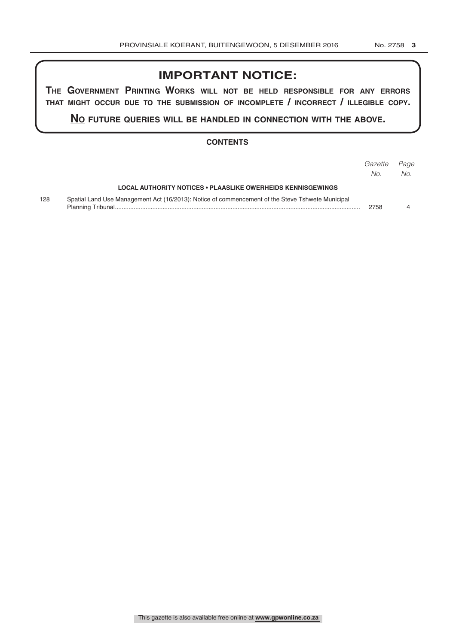## **IMPORTANT NOTICE:**

**The GovernmenT PrinTinG Works Will noT be held resPonsible for any errors ThaT miGhT occur due To The submission of incomPleTe / incorrecT / illeGible coPy.**

**no fuTure queries Will be handled in connecTion WiTh The above.**

#### **CONTENTS**

|     |                                                                                                  | Gazette Page |     |
|-----|--------------------------------------------------------------------------------------------------|--------------|-----|
|     |                                                                                                  | No.          | No. |
|     | LOCAL AUTHORITY NOTICES • PLAASLIKE OWERHEIDS KENNISGEWINGS                                      |              |     |
| 128 | Spatial Land Use Management Act (16/2013): Notice of commencement of the Steve Tshwete Municipal | 2758         |     |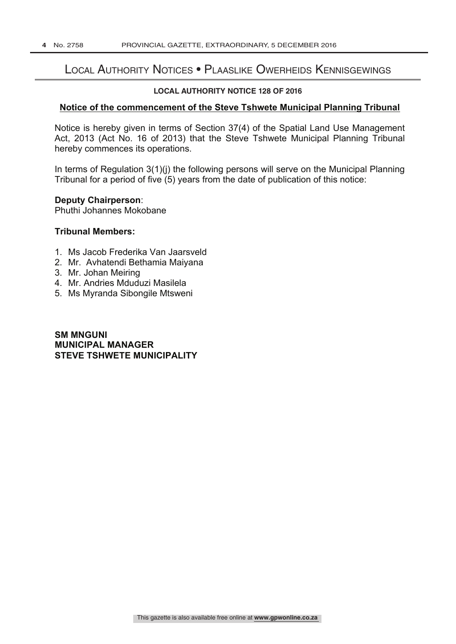## Local Authority Notices • Plaaslike Owerheids Kennisgewings

#### **LOCAL AUTHORITY NOTICE 128 OF 2016**

## **Notice of the commencement of the Steve Tshwete Municipal Planning Tribunal**

Notice is hereby given in terms of Section 37(4) of the Spatial Land Use Management Act, 2013 (Act No. 16 of 2013) that the Steve Tshwete Municipal Planning Tribunal hereby commences its operations.

In terms of Regulation 3(1)(j) the following persons will serve on the Municipal Planning Tribunal for a period of five (5) years from the date of publication of this notice:

### **Deputy Chairperson**:

Phuthi Johannes Mokobane

## **Tribunal Members:**

- 1. Ms Jacob Frederika Van Jaarsveld
- 2. Mr. Avhatendi Bethamia Maiyana
- 3. Mr. Johan Meiring
- 4. Mr. Andries Mduduzi Masilela
- 5. Ms Myranda Sibongile Mtsweni

**SM MNGUNI MUNICIPAL MANAGER STEVE TSHWETE MUNICIPALITY**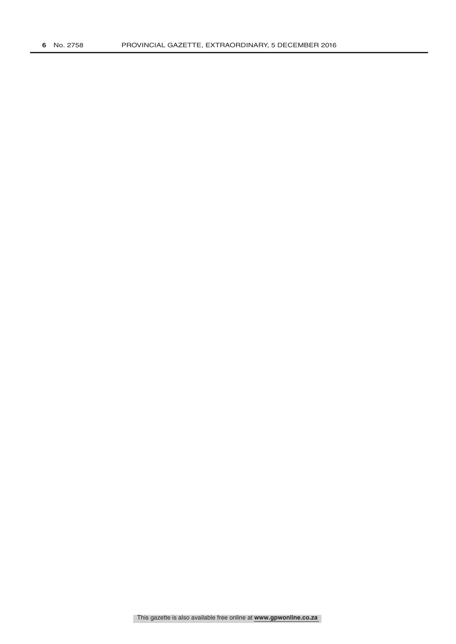This gazette is also available free online at **www.gpwonline.co.za**